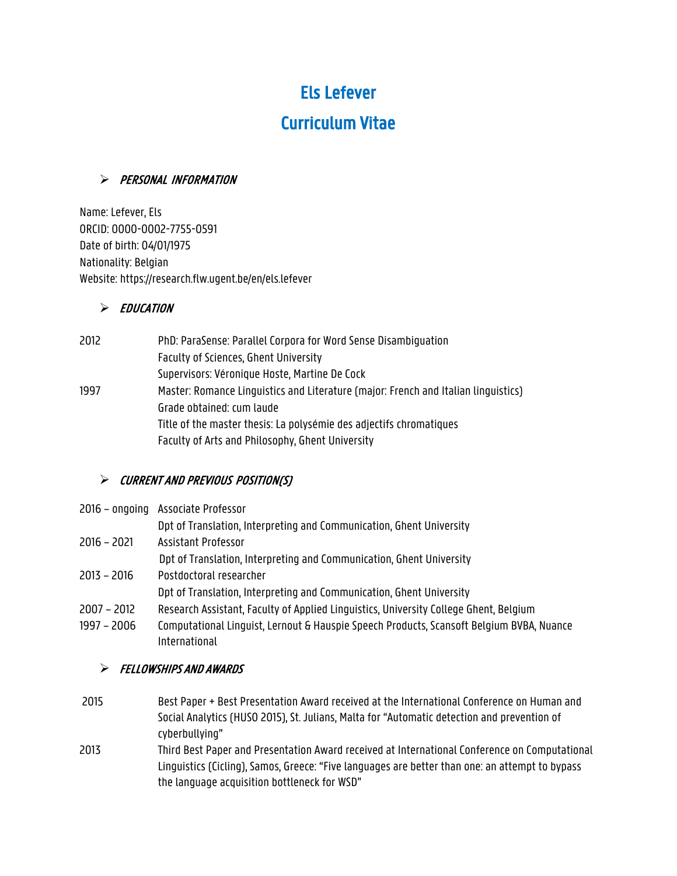# Els Lefever

# Curriculum Vitae

# > PERSONAL INFORMATION

Name: Lefever, Els ORCID: 0000-0002-7755-0591 Date of birth: 04/01/1975 Nationality: Belgian Website: https://research.flw.ugent.be/en/els.lefever

# $\triangleright$  EDUCATION

| 2012 | PhD: ParaSense: Parallel Corpora for Word Sense Disambiguation                     |  |
|------|------------------------------------------------------------------------------------|--|
|      | Faculty of Sciences, Ghent University                                              |  |
|      | Supervisors: Véronique Hoste, Martine De Cock                                      |  |
| 1997 | Master: Romance Linguistics and Literature (major: French and Italian linguistics) |  |
|      | Grade obtained: cum laude                                                          |  |
|      | Title of the master thesis: La polysémie des adjectifs chromatiques                |  |
|      | Faculty of Arts and Philosophy, Ghent University                                   |  |

# $\triangleright$  Current and previous position(S)

|             | 2016 - ongoing Associate Professor                                   |
|-------------|----------------------------------------------------------------------|
|             | Dpt of Translation, Interpreting and Communication, Ghent University |
| 2016 – 2021 | Assistant Professor                                                  |
|             | Dpt of Translation, Interpreting and Communication, Ghent University |
| 2013 – 2016 | Postdoctoral researcher                                              |
|             | Dpt of Translation, Interpreting and Communication, Ghent University |

- 2007 2012 Research Assistant, Faculty of Applied Linguistics, University College Ghent, Belgium
- 1997 2006 Computational Linguist, Lernout & Hauspie Speech Products, Scansoft Belgium BVBA, Nuance International

# ! FELLOWSHIPS AND AWARDS

- 2015 Best Paper + Best Presentation Award received at the International Conference on Human and Social Analytics (HUSO 2015), St. Julians, Malta for "Automatic detection and prevention of cyberbullying"
- 2013 Third Best Paper and Presentation Award received at International Conference on Computational Linguistics (Cicling), Samos, Greece: "Five languages are better than one: an attempt to bypass the language acquisition bottleneck for WSD"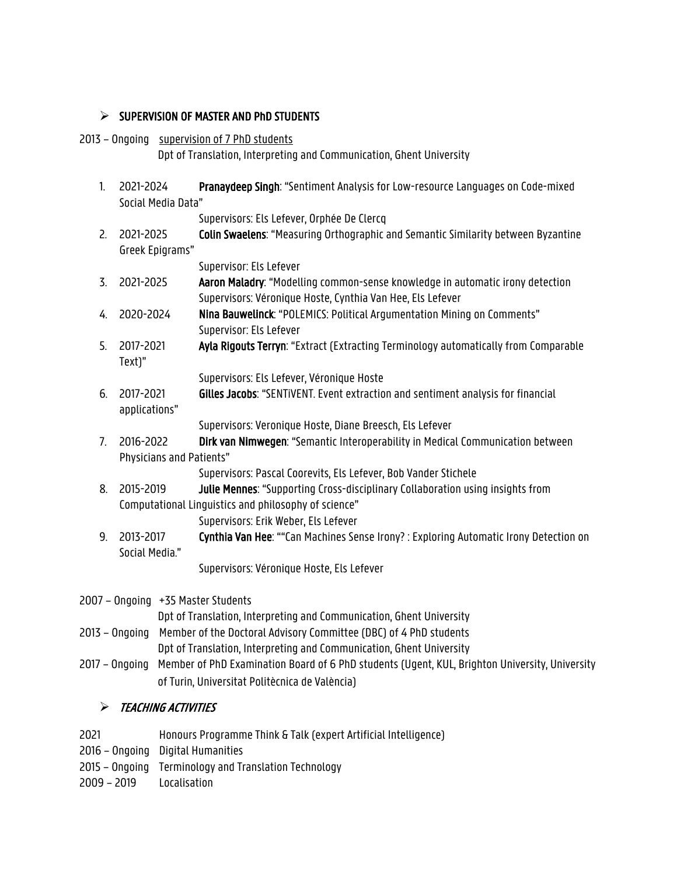# $\triangleright$  SUPERVISION OF MASTER AND PhD STUDENTS

### 2013 - Ongoing supervision of 7 PhD students

Dpt of Translation, Interpreting and Communication, Ghent University

- 1. 2021-2024 Pranaydeep Singh: "Sentiment Analysis for Low-resource Languages on Code-mixed Social Media Data" Supervisors: Els Lefever, Orphée De Clercq 2. 2021-2025 Colin Swaelens: "Measuring Orthographic and Semantic Similarity between Byzantine Greek Epigrams" Supervisor: Els Lefever 3. 2021-2025 Aaron Maladry: "Modelling common-sense knowledge in automatic irony detection Supervisors: Véronique Hoste, Cynthia Van Hee, Els Lefever 4. 2020-2024 Nina Bauwelinck: "POLEMICS: Political Argumentation Mining on Comments" Supervisor: Els Lefever 5. 2017-2021 Ayla Rigouts Terryn: "Extract (Extracting Terminology automatically from Comparable Text)" Supervisors: Els Lefever, Véronique Hoste 6. 2017-2021 Gilles Jacobs: "SENTiVENT. Event extraction and sentiment analysis for financial applications" Supervisors: Veronique Hoste, Diane Breesch, Els Lefever 7. 2016-2022 **Dirk van Nimwegen**: "Semantic Interoperability in Medical Communication between Physicians and Patients" Supervisors: Pascal Coorevits, Els Lefever, Bob Vander Stichele 8. 2015-2019 **Julie Mennes:** "Supporting Cross-disciplinary Collaboration using insights from Computational Linguistics and philosophy of science" Supervisors: Erik Weber, Els Lefever 9. 2013-2017 Cynthia Van Hee: ""Can Machines Sense Irony? : Exploring Automatic Irony Detection on Social Media." Supervisors: Véronique Hoste, Els Lefever 2007 – Ongoing +35 Master Students Dpt of Translation, Interpreting and Communication, Ghent University
- 2013 Ongoing Member of the Doctoral Advisory Committee (DBC) of 4 PhD students
	- Dpt of Translation, Interpreting and Communication, Ghent University
- 2017 Ongoing Member of PhD Examination Board of 6 PhD students (Ugent, KUL, Brighton University, University of Turin, Universitat Politècnica de València)

# **EXACHING ACTIVITIES**

| 2021 | Honours Programme Think & Talk (expert Artificial Intelligence) |
|------|-----------------------------------------------------------------|
|------|-----------------------------------------------------------------|

- 2016 Ongoing Digital Humanities
- 2015 Ongoing Terminology and Translation Technology
- 2009 2019 Localisation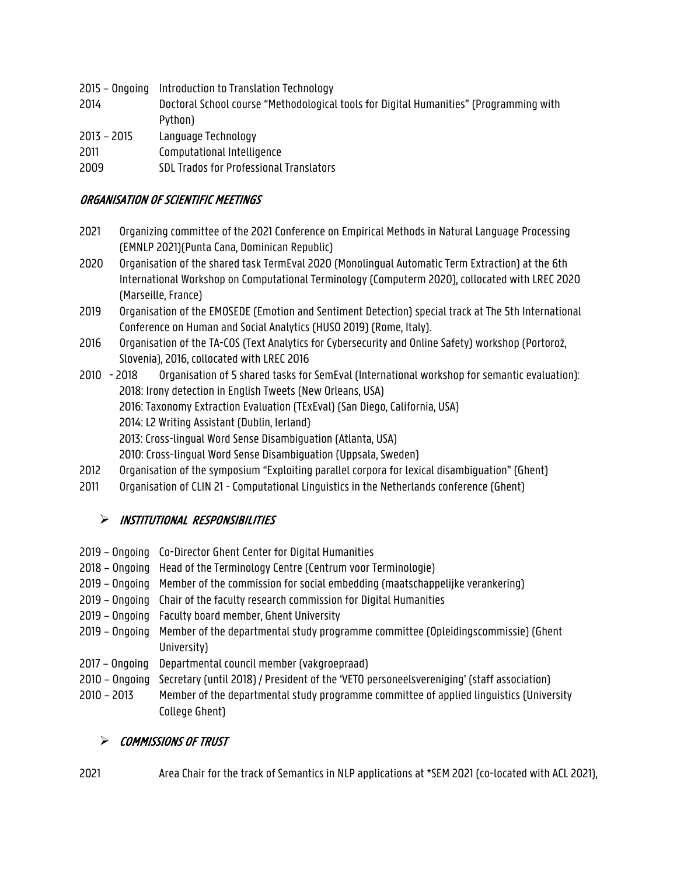- 2015 Ongoing Introduction to Translation Technology
- 2014 Doctoral School course "Methodological tools for Digital Humanities" (Programming with Python)
- 2013 2015 Language Technology
- 2011 Computational Intelligence
- 2009 SDL Trados for Professional Translators

### ORGANISATION OF SCIENTIFIC MEETINGS

- 2021 Organizing committee of the 2021 Conference on Empirical Methods in Natural Language Processing (EMNLP 2021)(Punta Cana, Dominican Republic)
- 2020 Organisation of the shared task TermEval 2020 (Monolingual Automatic Term Extraction) at the 6th International Workshop on Computational Terminology (Computerm 2020), collocated with LREC 2020 (Marseille, France)
- 2019 Organisation of the EMOSEDE (Emotion and Sentiment Detection) special track at The 5th International Conference on Human and Social Analytics (HUSO 2019) (Rome, Italy).
- 2016 Organisation of the TA-COS (Text Analytics for Cybersecurity and Online Safety) workshop (Portorož, Slovenia), 2016, collocated with LREC 2016
- 2010 2018 Organisation of 5 shared tasks for SemEval (International workshop for semantic evaluation): 2018: Irony detection in English Tweets (New Orleans, USA) 2016: Taxonomy Extraction Evaluation (TExEval) (San Diego, California, USA) 2014: L2 Writing Assistant (Dublin, Ierland) 2013: Cross-lingual Word Sense Disambiguation (Atlanta, USA) 2010: Cross-lingual Word Sense Disambiguation (Uppsala, Sweden)
- 2012 Organisation of the symposium "Exploiting parallel corpora for lexical disambiguation" (Ghent)
- 2011 Organisation of CLIN 21 Computational Linguistics in the Netherlands conference (Ghent)

# ! INSTITUTIONAL RESPONSIBILITIES

- 2019 Ongoing Co-Director Ghent Center for Digital Humanities
- 2018 Ongoing Head of the Terminology Centre (Centrum voor Terminologie)
- 2019 Ongoing Member of the commission for social embedding (maatschappelijke verankering)
- 2019 Ongoing Chair of the faculty research commission for Digital Humanities
- 2019 Ongoing Faculty board member, Ghent University
- 2019 Ongoing Member of the departmental study programme committee (Opleidingscommissie) (Ghent University)
- 2017 Ongoing Departmental council member (vakgroepraad)
- 2010 Ongoing Secretary (until 2018) / President of the 'VETO personeelsvereniging' (staff association)
- 2010 2013 Member of the departmental study programme committee of applied linguistics (University College Ghent)

# $\triangleright$  COMMISSIONS OF TRUST

2021 Area Chair for the track of Semantics in NLP applications at \*SEM 2021 (co-located with ACL 2021),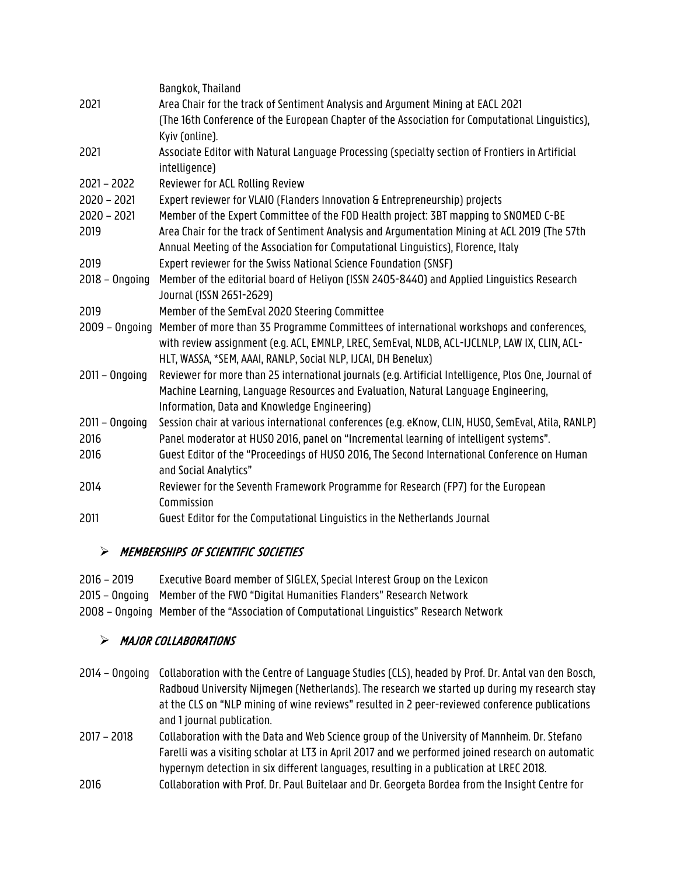|                  | Bangkok, Thailand                                                                                                                                                                  |
|------------------|------------------------------------------------------------------------------------------------------------------------------------------------------------------------------------|
| 2021             | Area Chair for the track of Sentiment Analysis and Argument Mining at EACL 2021                                                                                                    |
|                  | (The 16th Conference of the European Chapter of the Association for Computational Linguistics),                                                                                    |
|                  | Kyiv (online).                                                                                                                                                                     |
| 2021             | Associate Editor with Natural Language Processing (specialty section of Frontiers in Artificial                                                                                    |
|                  | intelligence)                                                                                                                                                                      |
| $2021 - 2022$    | Reviewer for ACL Rolling Review                                                                                                                                                    |
| $2020 - 2021$    | Expert reviewer for VLAIO (Flanders Innovation & Entrepreneurship) projects                                                                                                        |
| $2020 - 2021$    | Member of the Expert Committee of the FOD Health project: 3BT mapping to SNOMED C-BE                                                                                               |
| 2019             | Area Chair for the track of Sentiment Analysis and Argumentation Mining at ACL 2019 (The 57th<br>Annual Meeting of the Association for Computational Linguistics), Florence, Italy |
| 2019             | Expert reviewer for the Swiss National Science Foundation (SNSF)                                                                                                                   |
| $2018 - Ongoing$ | Member of the editorial board of Heliyon (ISSN 2405-8440) and Applied Linguistics Research                                                                                         |
|                  | Journal (ISSN 2651-2629)                                                                                                                                                           |
| 2019             | Member of the SemEval 2020 Steering Committee                                                                                                                                      |
| $2009 - Ongoing$ | Member of more than 35 Programme Committees of international workshops and conferences,                                                                                            |
|                  | with review assignment (e.g. ACL, EMNLP, LREC, SemEval, NLDB, ACL-IJCLNLP, LAW IX, CLIN, ACL-                                                                                      |
|                  | HLT, WASSA, *SEM, AAAI, RANLP, Social NLP, IJCAI, DH Benelux)                                                                                                                      |
| $2011 - Ongoing$ | Reviewer for more than 25 international journals (e.g. Artificial Intelligence, Plos One, Journal of                                                                               |
|                  | Machine Learning, Language Resources and Evaluation, Natural Language Engineering,                                                                                                 |
|                  | Information, Data and Knowledge Engineering)                                                                                                                                       |
| $2011 - Ongoing$ | Session chair at various international conferences (e.g. eKnow, CLIN, HUSO, SemEval, Atila, RANLP)                                                                                 |
| 2016             | Panel moderator at HUSO 2016, panel on "Incremental learning of intelligent systems".                                                                                              |
| 2016             | Guest Editor of the "Proceedings of HUSO 2016, The Second International Conference on Human<br>and Social Analytics"                                                               |
| 2014             | Reviewer for the Seventh Framework Programme for Research (FP7) for the European                                                                                                   |
|                  | Commission                                                                                                                                                                         |
| 2011             | Guest Editor for the Computational Linguistics in the Netherlands Journal                                                                                                          |
|                  |                                                                                                                                                                                    |

# > MEMBERSHIPS OF SCIENTIFIC SOCIETIES

| 2016 - 2019 | Executive Board member of SIGLEX, Special Interest Group on the Lexicon                  |
|-------------|------------------------------------------------------------------------------------------|
|             | 2015 – Ongoing Member of the FWO "Digital Humanities Flanders" Research Network          |
|             | 2008 – Ongoing Member of the "Association of Computational Linguistics" Research Network |

# > MAJOR COLLABORATIONS

- 2014 Ongoing Collaboration with the Centre of Language Studies (CLS), headed by Prof. Dr. Antal van den Bosch, Radboud University Nijmegen (Netherlands). The research we started up during my research stay at the CLS on "NLP mining of wine reviews" resulted in 2 peer-reviewed conference publications and 1 journal publication.
- 2017 2018 Collaboration with the Data and Web Science group of the University of Mannheim. Dr. Stefano Farelli was a visiting scholar at LT3 in April 2017 and we performed joined research on automatic hypernym detection in six different languages, resulting in a publication at LREC 2018.
- 2016 Collaboration with Prof. Dr. Paul Buitelaar and Dr. Georgeta Bordea from the Insight Centre for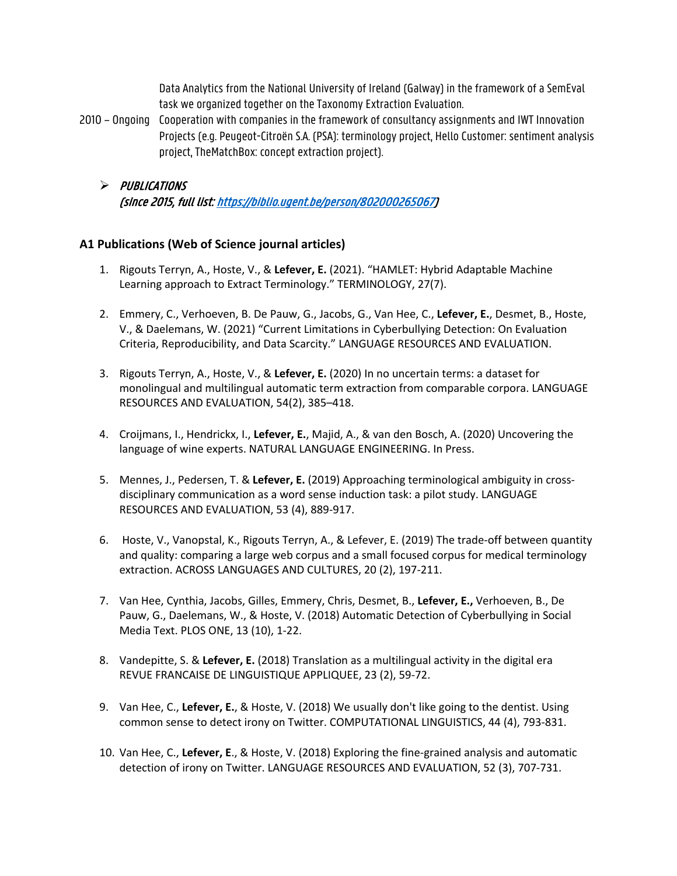Data Analytics from the National University of Ireland (Galway) in the framework of a SemEval task we organized together on the Taxonomy Extraction Evaluation.

- 2010 Ongoing Cooperation with companies in the framework of consultancy assignments and IWT Innovation Projects (e.g. Peugeot-Citroën S.A. (PSA): terminology project, Hello Customer: sentiment analysis project, TheMatchBox: concept extraction project).
	- > PUBLICATIONS (since 2015, full list: https://biblio.ugent.be/person/802000265067)

### **A1 Publications (Web of Science journal articles)**

- 1. Rigouts Terryn, A., Hoste, V., & **Lefever, E.** (2021). "HAMLET: Hybrid Adaptable Machine Learning approach to Extract Terminology." TERMINOLOGY, 27(7).
- 2. Emmery, C., Verhoeven, B. De Pauw, G., Jacobs, G., Van Hee, C., **Lefever, E.**, Desmet, B., Hoste, V., & Daelemans, W. (2021) "Current Limitations in Cyberbullying Detection: On Evaluation Criteria, Reproducibility, and Data Scarcity." LANGUAGE RESOURCES AND EVALUATION.
- 3. Rigouts Terryn, A., Hoste, V., & **Lefever, E.** (2020) In no uncertain terms: a dataset for monolingual and multilingual automatic term extraction from comparable corpora. LANGUAGE RESOURCES AND EVALUATION, 54(2), 385–418.
- 4. Croijmans, I., Hendrickx, I., **Lefever, E.**, Majid, A., & van den Bosch, A. (2020) Uncovering the language of wine experts. NATURAL LANGUAGE ENGINEERING. In Press.
- 5. Mennes, J., Pedersen, T. & **Lefever, E.** (2019) Approaching terminological ambiguity in crossdisciplinary communication as a word sense induction task: a pilot study. LANGUAGE RESOURCES AND EVALUATION, 53 (4), 889-917.
- 6. Hoste, V., Vanopstal, K., Rigouts Terryn, A., & Lefever, E. (2019) The trade-off between quantity and quality: comparing a large web corpus and a small focused corpus for medical terminology extraction. ACROSS LANGUAGES AND CULTURES, 20 (2), 197-211.
- 7. Van Hee, Cynthia, Jacobs, Gilles, Emmery, Chris, Desmet, B., **Lefever, E.,** Verhoeven, B., De Pauw, G., Daelemans, W., & Hoste, V. (2018) Automatic Detection of Cyberbullying in Social Media Text. PLOS ONE, 13 (10), 1-22.
- 8. Vandepitte, S. & **Lefever, E.** (2018) Translation as a multilingual activity in the digital era REVUE FRANCAISE DE LINGUISTIQUE APPLIQUEE, 23 (2), 59-72.
- 9. Van Hee, C., **Lefever, E.**, & Hoste, V. (2018) We usually don't like going to the dentist. Using common sense to detect irony on Twitter. COMPUTATIONAL LINGUISTICS, 44 (4), 793-831.
- 10. Van Hee, C., **Lefever, E**., & Hoste, V. (2018) Exploring the fine-grained analysis and automatic detection of irony on Twitter. LANGUAGE RESOURCES AND EVALUATION, 52 (3), 707-731.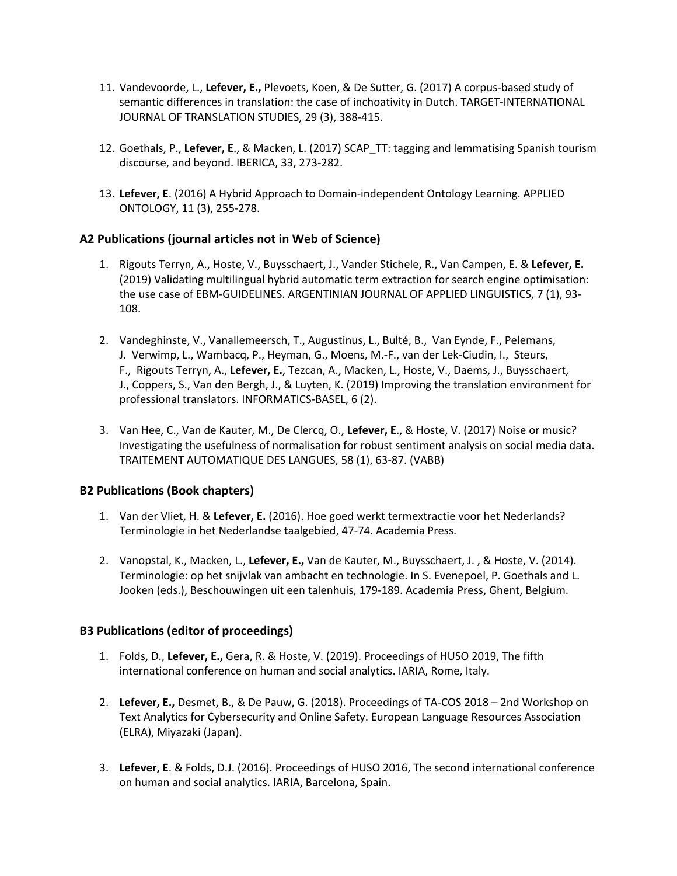- 11. Vandevoorde, L., **Lefever, E.,** Plevoets, Koen, & De Sutter, G. (2017) A corpus-based study of semantic differences in translation: the case of inchoativity in Dutch. TARGET-INTERNATIONAL JOURNAL OF TRANSLATION STUDIES, 29 (3), 388-415.
- 12. Goethals, P., **Lefever, E**., & Macken, L. (2017) SCAP\_TT: tagging and lemmatising Spanish tourism discourse, and beyond. IBERICA, 33, 273-282.
- 13. **Lefever, E**. (2016) A Hybrid Approach to Domain-independent Ontology Learning. APPLIED ONTOLOGY, 11 (3), 255-278.

#### **A2 Publications (journal articles not in Web of Science)**

- 1. Rigouts Terryn, A., Hoste, V., Buysschaert, J., Vander Stichele, R., Van Campen, E. & **Lefever, E.** (2019) Validating multilingual hybrid automatic term extraction for search engine optimisation: the use case of EBM-GUIDELINES. ARGENTINIAN JOURNAL OF APPLIED LINGUISTICS, 7 (1), 93- 108.
- 2. Vandeghinste, V., Vanallemeersch, T., Augustinus, L., Bulté, B., Van Eynde, F., Pelemans, J. Verwimp, L., Wambacq, P., Heyman, G., Moens, M.-F., van der Lek-Ciudin, I., Steurs, F., Rigouts Terryn, A., **Lefever, E.**, Tezcan, A., Macken, L., Hoste, V., Daems, J., Buysschaert, J., Coppers, S., Van den Bergh, J., & Luyten, K. (2019) Improving the translation environment for professional translators. INFORMATICS-BASEL, 6 (2).
- 3. Van Hee, C., Van de Kauter, M., De Clercq, O., **Lefever, E**., & Hoste, V. (2017) Noise or music? Investigating the usefulness of normalisation for robust sentiment analysis on social media data. TRAITEMENT AUTOMATIQUE DES LANGUES, 58 (1), 63-87. (VABB)

#### **B2 Publications (Book chapters)**

- 1. Van der Vliet, H. & **Lefever, E.** (2016). Hoe goed werkt termextractie voor het Nederlands? Terminologie in het Nederlandse taalgebied, 47-74. Academia Press.
- 2. Vanopstal, K., Macken, L., **Lefever, E.,** Van de Kauter, M., Buysschaert, J. , & Hoste, V. (2014). Terminologie: op het snijvlak van ambacht en technologie. In S. Evenepoel, P. Goethals and L. Jooken (eds.), Beschouwingen uit een talenhuis, 179-189. Academia Press, Ghent, Belgium.

#### **B3 Publications (editor of proceedings)**

- 1. Folds, D., **Lefever, E.,** Gera, R. & Hoste, V. (2019). Proceedings of HUSO 2019, The fifth international conference on human and social analytics. IARIA, Rome, Italy.
- 2. **Lefever, E.,** Desmet, B., & De Pauw, G. (2018). Proceedings of TA-COS 2018 2nd Workshop on Text Analytics for Cybersecurity and Online Safety. European Language Resources Association (ELRA), Miyazaki (Japan).
- 3. **Lefever, E**. & Folds, D.J. (2016). Proceedings of HUSO 2016, The second international conference on human and social analytics. IARIA, Barcelona, Spain.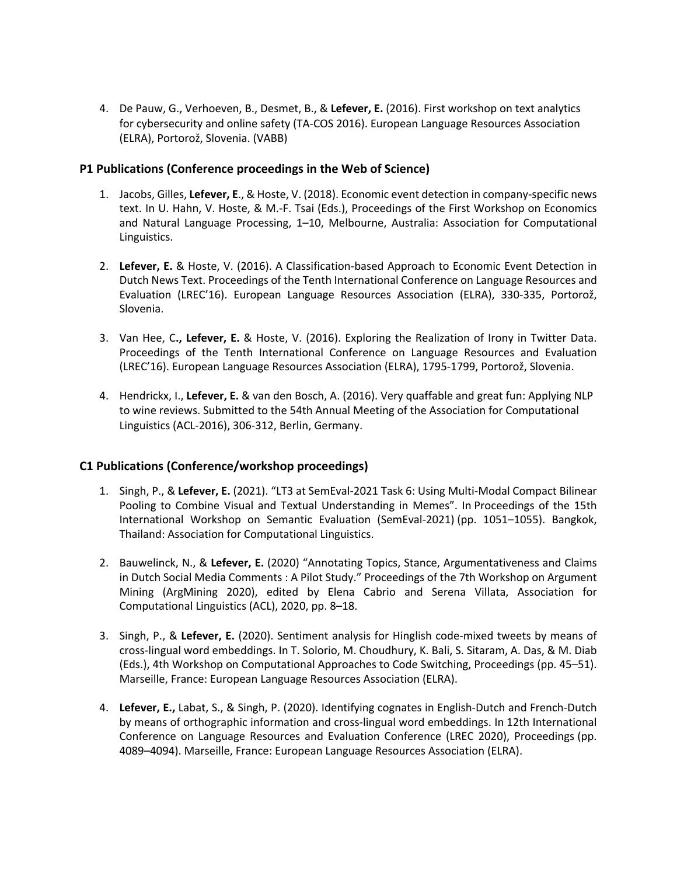4. De Pauw, G., Verhoeven, B., Desmet, B., & **Lefever, E.** (2016). First workshop on text analytics for cybersecurity and online safety (TA-COS 2016). European Language Resources Association (ELRA), Portorož, Slovenia. (VABB)

#### **P1 Publications (Conference proceedings in the Web of Science)**

- 1. Jacobs, Gilles, **Lefever, E**., & Hoste, V. (2018). Economic event detection in company-specific news text. In U. Hahn, V. Hoste, & M.-F. Tsai (Eds.), Proceedings of the First Workshop on Economics and Natural Language Processing, 1–10, Melbourne, Australia: Association for Computational Linguistics.
- 2. **Lefever, E.** & Hoste, V. (2016). A Classification-based Approach to Economic Event Detection in Dutch News Text. Proceedings of the Tenth International Conference on Language Resources and Evaluation (LREC'16). European Language Resources Association (ELRA), 330-335, Portorož, Slovenia.
- 3. Van Hee, C**., Lefever, E.** & Hoste, V. (2016). Exploring the Realization of Irony in Twitter Data. Proceedings of the Tenth International Conference on Language Resources and Evaluation (LREC'16). European Language Resources Association (ELRA), 1795-1799, Portorož, Slovenia.
- 4. Hendrickx, I., **Lefever, E.** & van den Bosch, A. (2016). Very quaffable and great fun: Applying NLP to wine reviews. Submitted to the 54th Annual Meeting of the Association for Computational Linguistics (ACL-2016), 306-312, Berlin, Germany.

### **C1 Publications (Conference/workshop proceedings)**

- 1. Singh, P., & **Lefever, E.** (2021). "LT3 at SemEval-2021 Task 6: Using Multi-Modal Compact Bilinear Pooling to Combine Visual and Textual Understanding in Memes". In Proceedings of the 15th International Workshop on Semantic Evaluation (SemEval-2021) (pp. 1051–1055). Bangkok, Thailand: Association for Computational Linguistics.
- 2. Bauwelinck, N., & **Lefever, E.** (2020) "Annotating Topics, Stance, Argumentativeness and Claims in Dutch Social Media Comments : A Pilot Study." Proceedings of the 7th Workshop on Argument Mining (ArgMining 2020), edited by Elena Cabrio and Serena Villata, Association for Computational Linguistics (ACL), 2020, pp. 8–18.
- 3. Singh, P., & **Lefever, E.** (2020). Sentiment analysis for Hinglish code-mixed tweets by means of cross-lingual word embeddings. In T. Solorio, M. Choudhury, K. Bali, S. Sitaram, A. Das, & M. Diab (Eds.), 4th Workshop on Computational Approaches to Code Switching, Proceedings (pp. 45–51). Marseille, France: European Language Resources Association (ELRA).
- 4. **Lefever, E.,** Labat, S., & Singh, P. (2020). Identifying cognates in English-Dutch and French-Dutch by means of orthographic information and cross-lingual word embeddings. In 12th International Conference on Language Resources and Evaluation Conference (LREC 2020), Proceedings (pp. 4089–4094). Marseille, France: European Language Resources Association (ELRA).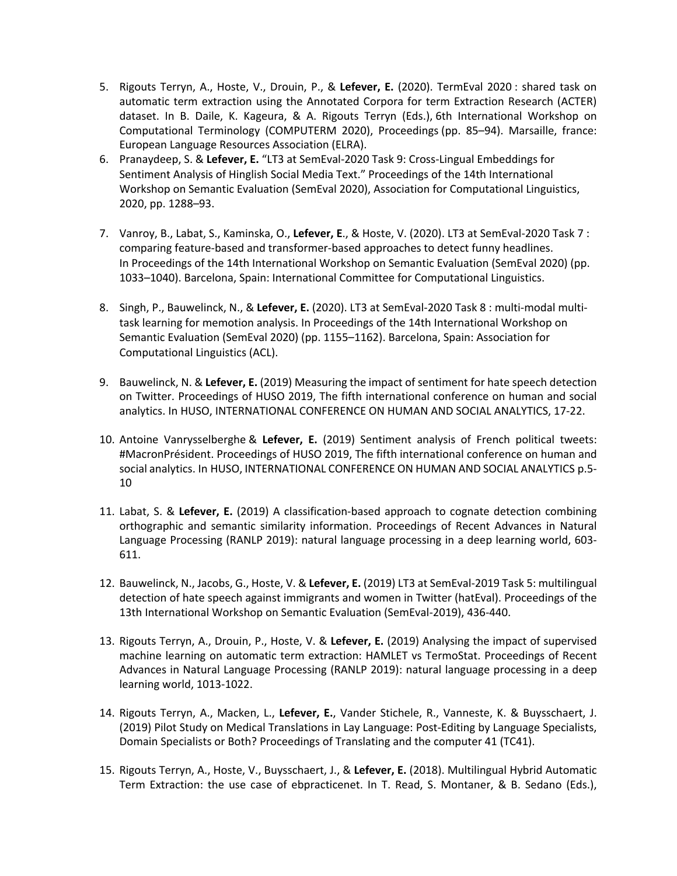- 5. Rigouts Terryn, A., Hoste, V., Drouin, P., & **Lefever, E.** (2020). TermEval 2020 : shared task on automatic term extraction using the Annotated Corpora for term Extraction Research (ACTER) dataset. In B. Daile, K. Kageura, & A. Rigouts Terryn (Eds.), 6th International Workshop on Computational Terminology (COMPUTERM 2020), Proceedings (pp. 85–94). Marsaille, france: European Language Resources Association (ELRA).
- 6. Pranaydeep, S. & **Lefever, E.** "LT3 at SemEval-2020 Task 9: Cross-Lingual Embeddings for Sentiment Analysis of Hinglish Social Media Text." Proceedings of the 14th International Workshop on Semantic Evaluation (SemEval 2020), Association for Computational Linguistics, 2020, pp. 1288–93.
- 7. Vanroy, B., Labat, S., Kaminska, O., **Lefever, E**., & Hoste, V. (2020). LT3 at SemEval-2020 Task 7 : comparing feature-based and transformer-based approaches to detect funny headlines. In Proceedings of the 14th International Workshop on Semantic Evaluation (SemEval 2020) (pp. 1033–1040). Barcelona, Spain: International Committee for Computational Linguistics.
- 8. Singh, P., Bauwelinck, N., & **Lefever, E.** (2020). LT3 at SemEval-2020 Task 8 : multi-modal multitask learning for memotion analysis. In Proceedings of the 14th International Workshop on Semantic Evaluation (SemEval 2020) (pp. 1155–1162). Barcelona, Spain: Association for Computational Linguistics (ACL).
- 9. Bauwelinck, N. & **Lefever, E.** (2019) Measuring the impact of sentiment for hate speech detection on Twitter. Proceedings of HUSO 2019, The fifth international conference on human and social analytics. In HUSO, INTERNATIONAL CONFERENCE ON HUMAN AND SOCIAL ANALYTICS, 17-22.
- 10. Antoine Vanrysselberghe & **Lefever, E.** (2019) Sentiment analysis of French political tweets: #MacronPrésident. Proceedings of HUSO 2019, The fifth international conference on human and social analytics. In HUSO, INTERNATIONAL CONFERENCE ON HUMAN AND SOCIAL ANALYTICS p.5- 10
- 11. Labat, S. & **Lefever, E.** (2019) A classification-based approach to cognate detection combining orthographic and semantic similarity information. Proceedings of Recent Advances in Natural Language Processing (RANLP 2019): natural language processing in a deep learning world, 603- 611.
- 12. Bauwelinck, N., Jacobs, G., Hoste, V. & **Lefever, E.** (2019) LT3 at SemEval-2019 Task 5: multilingual detection of hate speech against immigrants and women in Twitter (hatEval). Proceedings of the 13th International Workshop on Semantic Evaluation (SemEval-2019), 436-440.
- 13. Rigouts Terryn, A., Drouin, P., Hoste, V. & **Lefever, E.** (2019) Analysing the impact of supervised machine learning on automatic term extraction: HAMLET vs TermoStat. Proceedings of Recent Advances in Natural Language Processing (RANLP 2019): natural language processing in a deep learning world, 1013-1022.
- 14. Rigouts Terryn, A., Macken, L., **Lefever, E.**, Vander Stichele, R., Vanneste, K. & Buysschaert, J. (2019) Pilot Study on Medical Translations in Lay Language: Post-Editing by Language Specialists, Domain Specialists or Both? Proceedings of Translating and the computer 41 (TC41).
- 15. Rigouts Terryn, A., Hoste, V., Buysschaert, J., & **Lefever, E.** (2018). Multilingual Hybrid Automatic Term Extraction: the use case of ebpracticenet. In T. Read, S. Montaner, & B. Sedano (Eds.),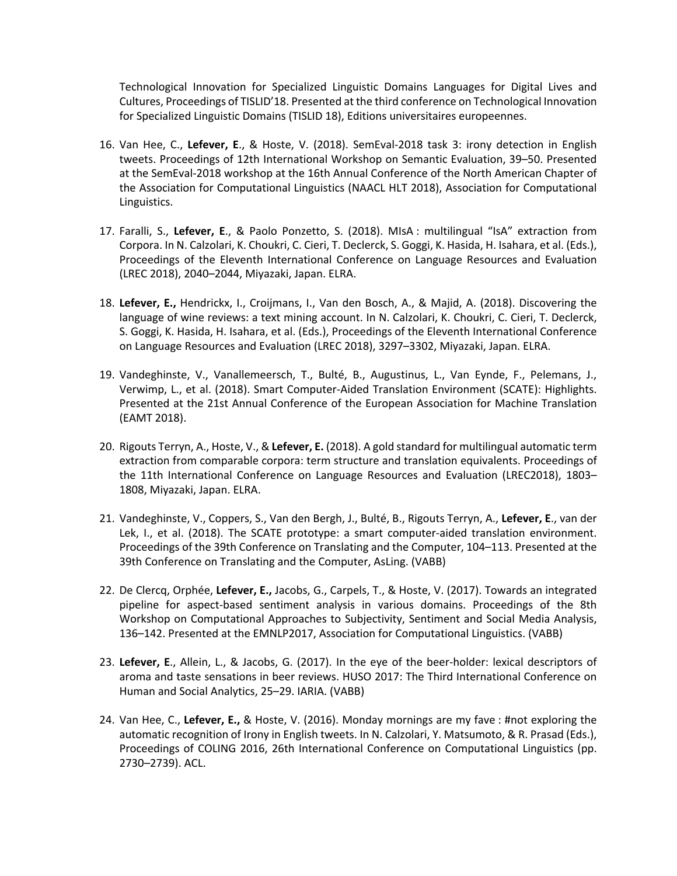Technological Innovation for Specialized Linguistic Domains Languages for Digital Lives and Cultures, Proceedings of TISLID'18. Presented at the third conference on Technological Innovation for Specialized Linguistic Domains (TISLID 18), Editions universitaires europeennes.

- 16. Van Hee, C., **Lefever, E**., & Hoste, V. (2018). SemEval-2018 task 3: irony detection in English tweets. Proceedings of 12th International Workshop on Semantic Evaluation, 39–50. Presented at the SemEval-2018 workshop at the 16th Annual Conference of the North American Chapter of the Association for Computational Linguistics (NAACL HLT 2018), Association for Computational Linguistics.
- 17. Faralli, S., **Lefever, E**., & Paolo Ponzetto, S. (2018). MIsA : multilingual "IsA" extraction from Corpora. In N. Calzolari, K. Choukri, C. Cieri, T. Declerck, S. Goggi, K. Hasida, H. Isahara, et al. (Eds.), Proceedings of the Eleventh International Conference on Language Resources and Evaluation (LREC 2018), 2040–2044, Miyazaki, Japan. ELRA.
- 18. **Lefever, E.,** Hendrickx, I., Croijmans, I., Van den Bosch, A., & Majid, A. (2018). Discovering the language of wine reviews: a text mining account. In N. Calzolari, K. Choukri, C. Cieri, T. Declerck, S. Goggi, K. Hasida, H. Isahara, et al. (Eds.), Proceedings of the Eleventh International Conference on Language Resources and Evaluation (LREC 2018), 3297–3302, Miyazaki, Japan. ELRA.
- 19. Vandeghinste, V., Vanallemeersch, T., Bulté, B., Augustinus, L., Van Eynde, F., Pelemans, J., Verwimp, L., et al. (2018). Smart Computer-Aided Translation Environment (SCATE): Highlights. Presented at the 21st Annual Conference of the European Association for Machine Translation (EAMT 2018).
- 20. Rigouts Terryn, A., Hoste, V., & **Lefever, E.** (2018). A gold standard for multilingual automatic term extraction from comparable corpora: term structure and translation equivalents. Proceedings of the 11th International Conference on Language Resources and Evaluation (LREC2018), 1803– 1808, Miyazaki, Japan. ELRA.
- 21. Vandeghinste, V., Coppers, S., Van den Bergh, J., Bulté, B., Rigouts Terryn, A., **Lefever, E**., van der Lek, I., et al. (2018). The SCATE prototype: a smart computer-aided translation environment. Proceedings of the 39th Conference on Translating and the Computer, 104–113. Presented at the 39th Conference on Translating and the Computer, AsLing. (VABB)
- 22. De Clercq, Orphée, **Lefever, E.,** Jacobs, G., Carpels, T., & Hoste, V. (2017). Towards an integrated pipeline for aspect-based sentiment analysis in various domains. Proceedings of the 8th Workshop on Computational Approaches to Subjectivity, Sentiment and Social Media Analysis, 136–142. Presented at the EMNLP2017, Association for Computational Linguistics. (VABB)
- 23. **Lefever, E**., Allein, L., & Jacobs, G. (2017). In the eye of the beer-holder: lexical descriptors of aroma and taste sensations in beer reviews. HUSO 2017: The Third International Conference on Human and Social Analytics, 25–29. IARIA. (VABB)
- 24. Van Hee, C., **Lefever, E.,** & Hoste, V. (2016). Monday mornings are my fave : #not exploring the automatic recognition of Irony in English tweets. In N. Calzolari, Y. Matsumoto, & R. Prasad (Eds.), Proceedings of COLING 2016, 26th International Conference on Computational Linguistics (pp. 2730–2739). ACL.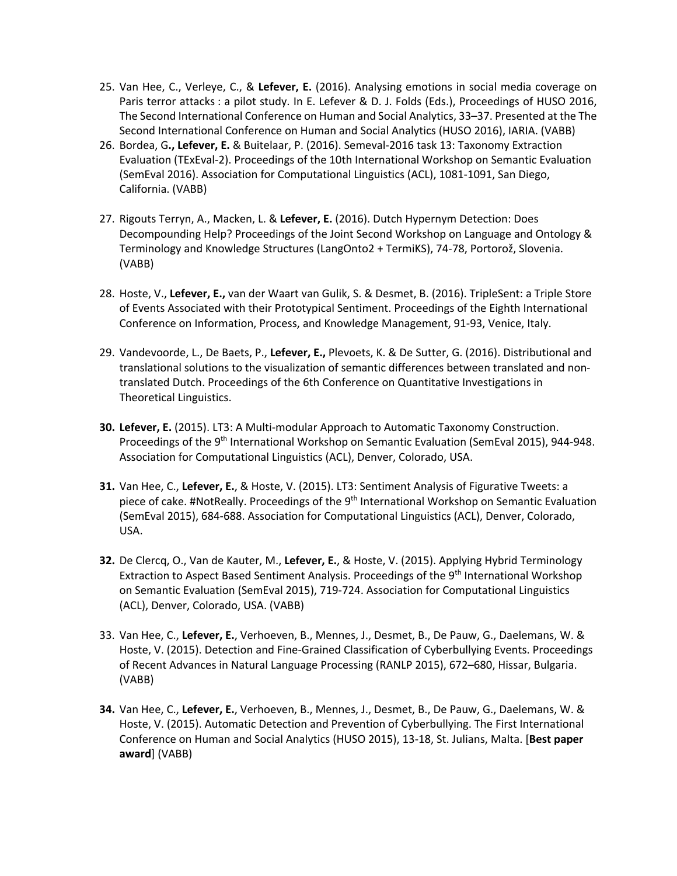- 25. Van Hee, C., Verleye, C., & **Lefever, E.** (2016). Analysing emotions in social media coverage on Paris terror attacks : a pilot study. In E. Lefever & D. J. Folds (Eds.), Proceedings of HUSO 2016, The Second International Conference on Human and Social Analytics, 33–37. Presented at the The Second International Conference on Human and Social Analytics (HUSO 2016), IARIA. (VABB)
- 26. Bordea, G**., Lefever, E.** & Buitelaar, P. (2016). Semeval-2016 task 13: Taxonomy Extraction Evaluation (TExEval-2). Proceedings of the 10th International Workshop on Semantic Evaluation (SemEval 2016). Association for Computational Linguistics (ACL), 1081-1091, San Diego, California. (VABB)
- 27. Rigouts Terryn, A., Macken, L. & **Lefever, E.** (2016). Dutch Hypernym Detection: Does Decompounding Help? Proceedings of the Joint Second Workshop on Language and Ontology & Terminology and Knowledge Structures (LangOnto2 + TermiKS), 74-78, Portorož, Slovenia. (VABB)
- 28. Hoste, V., **Lefever, E.,** van der Waart van Gulik, S. & Desmet, B. (2016). TripleSent: a Triple Store of Events Associated with their Prototypical Sentiment. Proceedings of the Eighth International Conference on Information, Process, and Knowledge Management, 91-93, Venice, Italy.
- 29. Vandevoorde, L., De Baets, P., **Lefever, E.,** Plevoets, K. & De Sutter, G. (2016). Distributional and translational solutions to the visualization of semantic differences between translated and nontranslated Dutch. Proceedings of the 6th Conference on Quantitative Investigations in Theoretical Linguistics.
- **30. Lefever, E.** (2015). LT3: A Multi-modular Approach to Automatic Taxonomy Construction. Proceedings of the 9<sup>th</sup> International Workshop on Semantic Evaluation (SemEval 2015), 944-948. Association for Computational Linguistics (ACL), Denver, Colorado, USA.
- **31.** Van Hee, C., **Lefever, E.**, & Hoste, V. (2015). LT3: Sentiment Analysis of Figurative Tweets: a piece of cake. #NotReally. Proceedings of the 9th International Workshop on Semantic Evaluation (SemEval 2015), 684-688. Association for Computational Linguistics (ACL), Denver, Colorado, USA.
- **32.** De Clercq, O., Van de Kauter, M., **Lefever, E.**, & Hoste, V. (2015). Applying Hybrid Terminology Extraction to Aspect Based Sentiment Analysis. Proceedings of the 9<sup>th</sup> International Workshop on Semantic Evaluation (SemEval 2015), 719-724. Association for Computational Linguistics (ACL), Denver, Colorado, USA. (VABB)
- 33. Van Hee, C., **Lefever, E.**, Verhoeven, B., Mennes, J., Desmet, B., De Pauw, G., Daelemans, W. & Hoste, V. (2015). Detection and Fine-Grained Classification of Cyberbullying Events. Proceedings of Recent Advances in Natural Language Processing (RANLP 2015), 672–680, Hissar, Bulgaria. (VABB)
- **34.** Van Hee, C., **Lefever, E.**, Verhoeven, B., Mennes, J., Desmet, B., De Pauw, G., Daelemans, W. & Hoste, V. (2015). Automatic Detection and Prevention of Cyberbullying. The First International Conference on Human and Social Analytics (HUSO 2015), 13-18, St. Julians, Malta. [**Best paper award**] (VABB)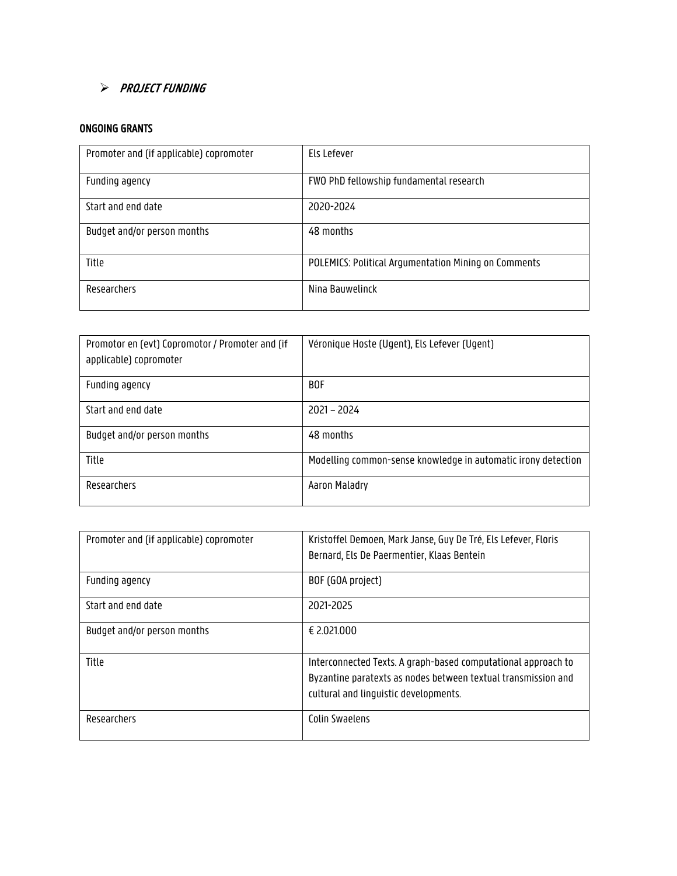# > PROJECT FUNDING

### ONGOING GRANTS

| Promoter and (if applicable) copromoter | Els Lefever                                                 |
|-----------------------------------------|-------------------------------------------------------------|
| Funding agency                          | FWO PhD fellowship fundamental research                     |
| Start and end date                      | 2020-2024                                                   |
| Budget and/or person months             | 48 months                                                   |
| Title                                   | <b>POLEMICS: Political Argumentation Mining on Comments</b> |
| Researchers                             | Nina Bauwelinck                                             |

| Promotor en (evt) Copromotor / Promoter and (if<br>applicable) copromoter | Véronique Hoste (Ugent), Els Lefever (Ugent)                  |
|---------------------------------------------------------------------------|---------------------------------------------------------------|
| Funding agency                                                            | <b>BOF</b>                                                    |
| Start and end date                                                        | $2021 - 2024$                                                 |
| Budget and/or person months                                               | 48 months                                                     |
| Title                                                                     | Modelling common-sense knowledge in automatic irony detection |
| Researchers                                                               | Aaron Maladry                                                 |

| Promoter and (if applicable) copromoter | Kristoffel Demoen, Mark Janse, Guy De Tré, Els Lefever, Floris<br>Bernard, Els De Paermentier, Klaas Bentein                                                            |
|-----------------------------------------|-------------------------------------------------------------------------------------------------------------------------------------------------------------------------|
| Funding agency                          | BOF (GOA project)                                                                                                                                                       |
| Start and end date                      | 2021-2025                                                                                                                                                               |
| Budget and/or person months             | € 2.021.000                                                                                                                                                             |
| Title                                   | Interconnected Texts. A graph-based computational approach to<br>Byzantine paratexts as nodes between textual transmission and<br>cultural and linguistic developments. |
| Researchers                             | <b>Colin Swaelens</b>                                                                                                                                                   |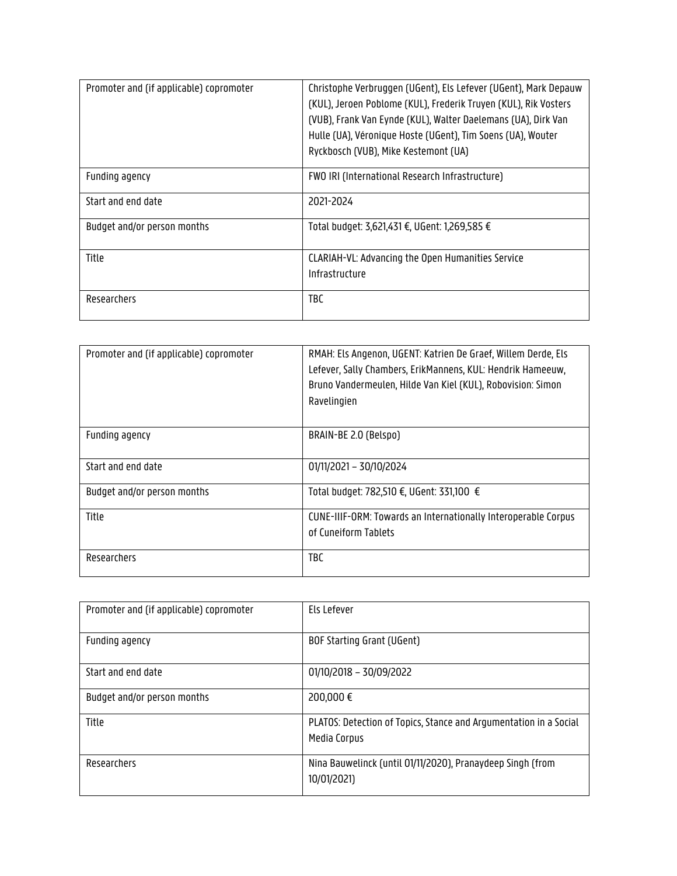| Promoter and (if applicable) copromoter | Christophe Verbruggen (UGent), Els Lefever (UGent), Mark Depauw<br>(KUL), Jeroen Poblome (KUL), Frederik Truyen (KUL), Rik Vosters<br>(VUB), Frank Van Eynde (KUL), Walter Daelemans (UA), Dirk Van<br>Hulle (UA), Véronique Hoste (UGent), Tim Soens (UA), Wouter<br>Ryckbosch (VUB), Mike Kestemont (UA) |
|-----------------------------------------|------------------------------------------------------------------------------------------------------------------------------------------------------------------------------------------------------------------------------------------------------------------------------------------------------------|
| Funding agency                          | FWO IRI (International Research Infrastructure)                                                                                                                                                                                                                                                            |
| Start and end date                      | 2021-2024                                                                                                                                                                                                                                                                                                  |
| Budget and/or person months             | Total budget: 3,621,431 €, UGent: 1,269,585 €                                                                                                                                                                                                                                                              |
| Title                                   | CLARIAH-VL: Advancing the Open Humanities Service<br>Infrastructure                                                                                                                                                                                                                                        |
| Researchers                             | TBC                                                                                                                                                                                                                                                                                                        |

| Promoter and (if applicable) copromoter | RMAH: Els Angenon, UGENT: Katrien De Graef, Willem Derde, Els<br>Lefever, Sally Chambers, ErikMannens, KUL: Hendrik Hameeuw,<br>Bruno Vandermeulen, Hilde Van Kiel (KUL), Robovision: Simon<br>Ravelingien |
|-----------------------------------------|------------------------------------------------------------------------------------------------------------------------------------------------------------------------------------------------------------|
| Funding agency                          | BRAIN-BE 2.0 (Belspo)                                                                                                                                                                                      |
| Start and end date                      | 01/11/2021 - 30/10/2024                                                                                                                                                                                    |
| Budget and/or person months             | Total budget: 782,510 €, UGent: 331,100 €                                                                                                                                                                  |
| Title                                   | CUNE-IIIF-ORM: Towards an Internationally Interoperable Corpus<br>of Cuneiform Tablets                                                                                                                     |
| Researchers                             | <b>TBC</b>                                                                                                                                                                                                 |

| Promoter and (if applicable) copromoter | Els Lefever                                                                       |
|-----------------------------------------|-----------------------------------------------------------------------------------|
| Funding agency                          | BOF Starting Grant (UGent)                                                        |
| Start and end date                      | 01/10/2018 - 30/09/2022                                                           |
| Budget and/or person months             | 200,000€                                                                          |
| Title                                   | PLATOS: Detection of Topics, Stance and Argumentation in a Social<br>Media Corpus |
| Researchers                             | Nina Bauwelinck (until 01/11/2020), Pranaydeep Singh (from<br>10/01/2021)         |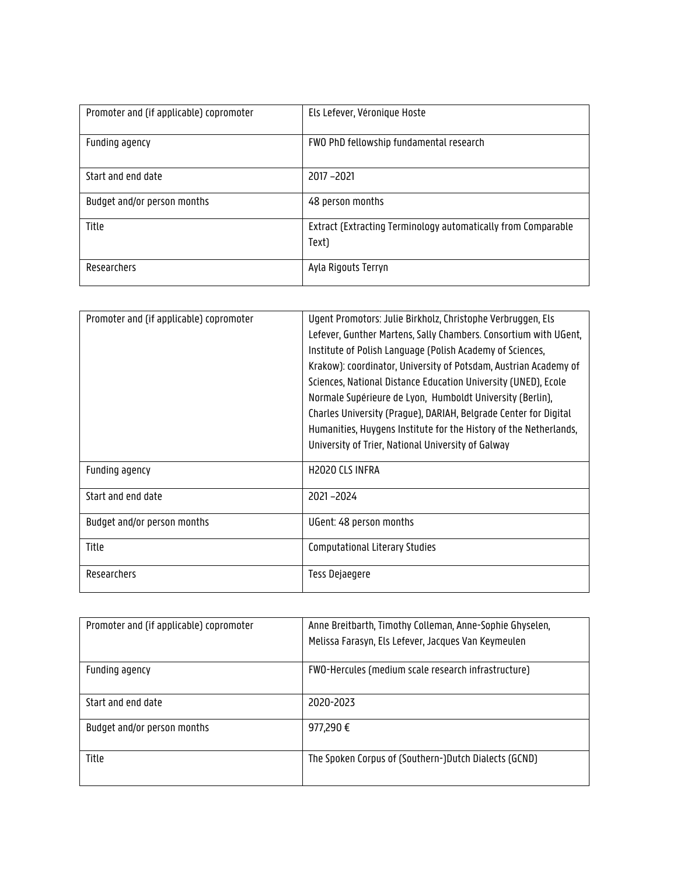| Promoter and (if applicable) copromoter | Els Lefever, Véronique Hoste                                           |
|-----------------------------------------|------------------------------------------------------------------------|
| Funding agency                          | FWO PhD fellowship fundamental research                                |
| Start and end date                      | $2017 - 2021$                                                          |
| Budget and/or person months             | 48 person months                                                       |
| Title                                   | Extract (Extracting Terminology automatically from Comparable<br>Text) |
| Researchers                             | Ayla Rigouts Terryn                                                    |

| Promoter and (if applicable) copromoter | Ugent Promotors: Julie Birkholz, Christophe Verbruggen, Els<br>Lefever, Gunther Martens, Sally Chambers. Consortium with UGent,<br>Institute of Polish Language (Polish Academy of Sciences,<br>Krakow): coordinator, University of Potsdam, Austrian Academy of<br>Sciences, National Distance Education University (UNED), Ecole<br>Normale Supérieure de Lyon, Humboldt University (Berlin),<br>Charles University (Prague), DARIAH, Belgrade Center for Digital<br>Humanities, Huygens Institute for the History of the Netherlands,<br>University of Trier, National University of Galway |
|-----------------------------------------|------------------------------------------------------------------------------------------------------------------------------------------------------------------------------------------------------------------------------------------------------------------------------------------------------------------------------------------------------------------------------------------------------------------------------------------------------------------------------------------------------------------------------------------------------------------------------------------------|
| Funding agency                          | H <sub>2020</sub> CLS INFRA                                                                                                                                                                                                                                                                                                                                                                                                                                                                                                                                                                    |
| Start and end date                      | 2021-2024                                                                                                                                                                                                                                                                                                                                                                                                                                                                                                                                                                                      |
| Budget and/or person months             | UGent: 48 person months                                                                                                                                                                                                                                                                                                                                                                                                                                                                                                                                                                        |
| Title                                   | Computational Literary Studies                                                                                                                                                                                                                                                                                                                                                                                                                                                                                                                                                                 |
| Researchers                             | Tess Dejaegere                                                                                                                                                                                                                                                                                                                                                                                                                                                                                                                                                                                 |

| Promoter and (if applicable) copromoter | Anne Breitbarth, Timothy Colleman, Anne-Sophie Ghyselen,<br>Melissa Farasyn, Els Lefever, Jacques Van Keymeulen |
|-----------------------------------------|-----------------------------------------------------------------------------------------------------------------|
| Funding agency                          | FWO-Hercules (medium scale research infrastructure)                                                             |
| Start and end date                      | 2020-2023                                                                                                       |
| Budget and/or person months             | 977,290€                                                                                                        |
| Title                                   | The Spoken Corpus of (Southern-)Dutch Dialects (GCND)                                                           |